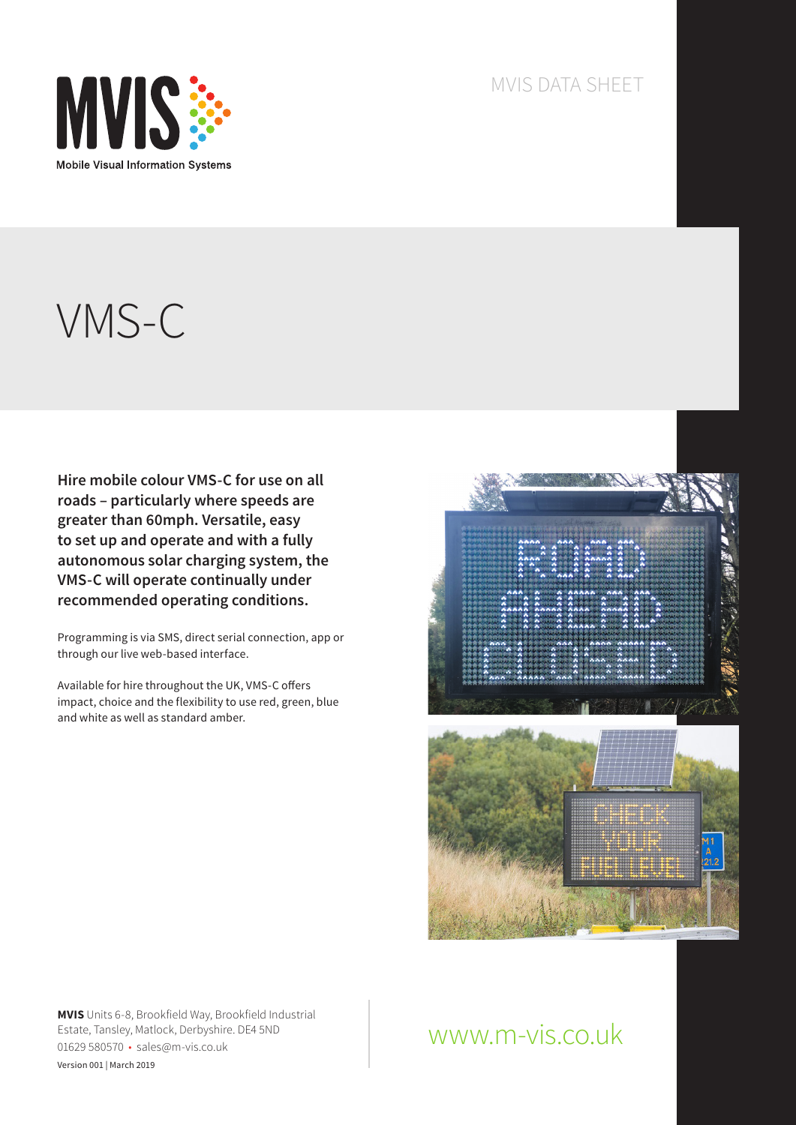

#### MVIS DATA SHEET

# VMS-C

**Hire mobile colour VMS-C for use on all roads – particularly where speeds are greater than 60mph. Versatile, easy to set up and operate and with a fully autonomous solar charging system, the VMS-C will operate continually under recommended operating conditions.**

Programming is via SMS, direct serial connection, app or through our live web-based interface.

Available for hire throughout the UK, VMS-C offers impact, choice and the flexibility to use red, green, blue and white as well as standard amber.



**MVIS** Units 6-8, Brookfield Way, Brookfield Industrial Estate, Tansley, Matlock, Derbyshire. DE4 5ND 01629 580570 • sales@m-vis.co.uk Version 001 | March 2019

# www.m-vis.co.uk